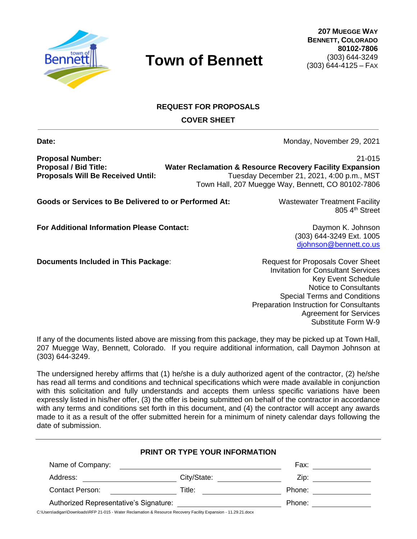

**207 MUEGGE WAY BENNETT, COLORADO 80102-7806** (303) 644-3249 (303) 644-4125 – FAX

#### **REQUEST FOR PROPOSALS COVER SHEET**

**Date:** Monday, November 29, 2021

(303) 644-3249 Ext. 1005 diohnson@bennett.co.us

**Proposal Number:** 21-015

**Proposal / Bid Title: Water Reclamation & Resource Recovery Facility Expansion Proposals Will Be Received Until:** Tuesday December 21, 2021, 4:00 p.m., MST Town Hall, 207 Muegge Way, Bennett, CO 80102-7806

**Goods or Services to Be Delivered to or Performed At:** Wastewater Treatment Facility

**For Additional Information Please Contact:** Daymon K. Johnson

**Documents Included in This Package:** Request for Proposals Cover Sheet

Invitation for Consultant Services Key Event Schedule Notice to Consultants Special Terms and Conditions Preparation Instruction for Consultants Agreement for Services Substitute Form W-9

If any of the documents listed above are missing from this package, they may be picked up at Town Hall, 207 Muegge Way, Bennett, Colorado. If you require additional information, call Daymon Johnson at (303) 644-3249.

The undersigned hereby affirms that (1) he/she is a duly authorized agent of the contractor, (2) he/she has read all terms and conditions and technical specifications which were made available in conjunction with this solicitation and fully understands and accepts them unless specific variations have been expressly listed in his/her offer, (3) the offer is being submitted on behalf of the contractor in accordance with any terms and conditions set forth in this document, and (4) the contractor will accept any awards made to it as a result of the offer submitted herein for a minimum of ninety calendar days following the date of submission.

|                                        | <b>PRINT OR TYPE YOUR INFORMATION</b>                                                                                |        |  |
|----------------------------------------|----------------------------------------------------------------------------------------------------------------------|--------|--|
| Name of Company:                       | <u> 1980 - Jan Samuel Barbara, margaret e</u> n 1980 eta eta eskualdean eta eskualdean eta eskualdean eta eskualdean | Fax:   |  |
| Address:                               | City/State: The City of the City of the City of the City of the City of the City of the City of the City of the City | Zip: T |  |
| Contact Person:                        | Title:                                                                                                               | Phone: |  |
| Authorized Representative's Signature: |                                                                                                                      | Phone: |  |

C:\Users\adigan\Downloads\RFP 21-015 - Water Reclamation & Resource Recovery Facility Expansion - 11.29.21.docx

805 4<sup>th</sup> Street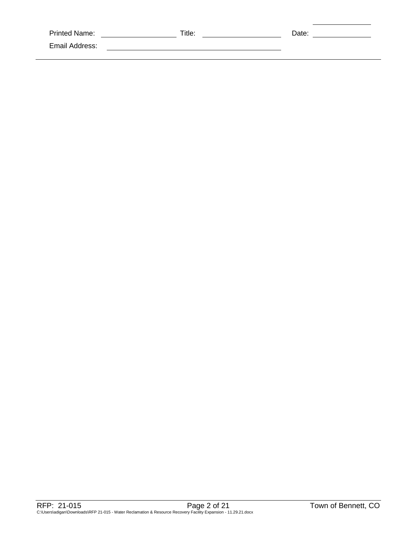| <b>Printed Name:</b> | Title: | Date: |
|----------------------|--------|-------|
| Email Address:       |        |       |
|                      |        |       |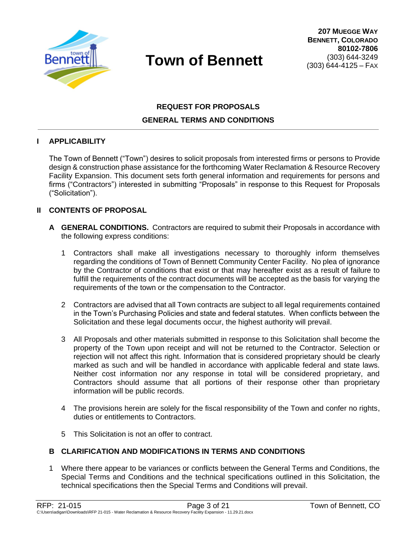

### **REQUEST FOR PROPOSALS GENERAL TERMS AND CONDITIONS**

#### **I APPLICABILITY**

The Town of Bennett ("Town") desires to solicit proposals from interested firms or persons to Provide design & construction phase assistance for the forthcoming Water Reclamation & Resource Recovery Facility Expansion. This document sets forth general information and requirements for persons and firms ("Contractors") interested in submitting "Proposals" in response to this Request for Proposals ("Solicitation").

#### **II CONTENTS OF PROPOSAL**

- **A GENERAL CONDITIONS.** Contractors are required to submit their Proposals in accordance with the following express conditions:
	- 1 Contractors shall make all investigations necessary to thoroughly inform themselves regarding the conditions of Town of Bennett Community Center Facility. No plea of ignorance by the Contractor of conditions that exist or that may hereafter exist as a result of failure to fulfill the requirements of the contract documents will be accepted as the basis for varying the requirements of the town or the compensation to the Contractor.
	- 2 Contractors are advised that all Town contracts are subject to all legal requirements contained in the Town's Purchasing Policies and state and federal statutes. When conflicts between the Solicitation and these legal documents occur, the highest authority will prevail.
	- 3 All Proposals and other materials submitted in response to this Solicitation shall become the property of the Town upon receipt and will not be returned to the Contractor. Selection or rejection will not affect this right. Information that is considered proprietary should be clearly marked as such and will be handled in accordance with applicable federal and state laws. Neither cost information nor any response in total will be considered proprietary, and Contractors should assume that all portions of their response other than proprietary information will be public records.
	- 4 The provisions herein are solely for the fiscal responsibility of the Town and confer no rights, duties or entitlements to Contractors.
	- 5 This Solicitation is not an offer to contract.

#### **B CLARIFICATION AND MODIFICATIONS IN TERMS AND CONDITIONS**

1 Where there appear to be variances or conflicts between the General Terms and Conditions, the Special Terms and Conditions and the technical specifications outlined in this Solicitation, the technical specifications then the Special Terms and Conditions will prevail.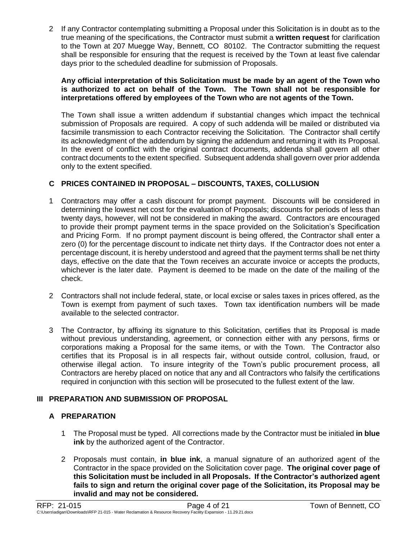2 If any Contractor contemplating submitting a Proposal under this Solicitation is in doubt as to the true meaning of the specifications, the Contractor must submit a **written request** for clarification to the Town at 207 Muegge Way, Bennett, CO 80102. The Contractor submitting the request shall be responsible for ensuring that the request is received by the Town at least five calendar days prior to the scheduled deadline for submission of Proposals.

#### **Any official interpretation of this Solicitation must be made by an agent of the Town who is authorized to act on behalf of the Town. The Town shall not be responsible for interpretations offered by employees of the Town who are not agents of the Town.**

The Town shall issue a written addendum if substantial changes which impact the technical submission of Proposals are required. A copy of such addenda will be mailed or distributed via facsimile transmission to each Contractor receiving the Solicitation. The Contractor shall certify its acknowledgment of the addendum by signing the addendum and returning it with its Proposal. In the event of conflict with the original contract documents, addenda shall govern all other contract documents to the extent specified. Subsequent addenda shall govern over prior addenda only to the extent specified.

#### **C PRICES CONTAINED IN PROPOSAL – DISCOUNTS, TAXES, COLLUSION**

- 1 Contractors may offer a cash discount for prompt payment. Discounts will be considered in determining the lowest net cost for the evaluation of Proposals; discounts for periods of less than twenty days, however, will not be considered in making the award. Contractors are encouraged to provide their prompt payment terms in the space provided on the Solicitation's Specification and Pricing Form. If no prompt payment discount is being offered, the Contractor shall enter a zero (0) for the percentage discount to indicate net thirty days. If the Contractor does not enter a percentage discount, it is hereby understood and agreed that the payment terms shall be net thirty days, effective on the date that the Town receives an accurate invoice or accepts the products, whichever is the later date. Payment is deemed to be made on the date of the mailing of the check.
- 2 Contractors shall not include federal, state, or local excise or sales taxes in prices offered, as the Town is exempt from payment of such taxes. Town tax identification numbers will be made available to the selected contractor.
- 3 The Contractor, by affixing its signature to this Solicitation, certifies that its Proposal is made without previous understanding, agreement, or connection either with any persons, firms or corporations making a Proposal for the same items, or with the Town. The Contractor also certifies that its Proposal is in all respects fair, without outside control, collusion, fraud, or otherwise illegal action. To insure integrity of the Town's public procurement process, all Contractors are hereby placed on notice that any and all Contractors who falsify the certifications required in conjunction with this section will be prosecuted to the fullest extent of the law.

#### **III PREPARATION AND SUBMISSION OF PROPOSAL**

### **A PREPARATION**

- 1 The Proposal must be typed. All corrections made by the Contractor must be initialed **in blue ink** by the authorized agent of the Contractor.
- 2 Proposals must contain, **in blue ink**, a manual signature of an authorized agent of the Contractor in the space provided on the Solicitation cover page. **The original cover page of this Solicitation must be included in all Proposals. If the Contractor's authorized agent fails to sign and return the original cover page of the Solicitation, its Proposal may be invalid and may not be considered.**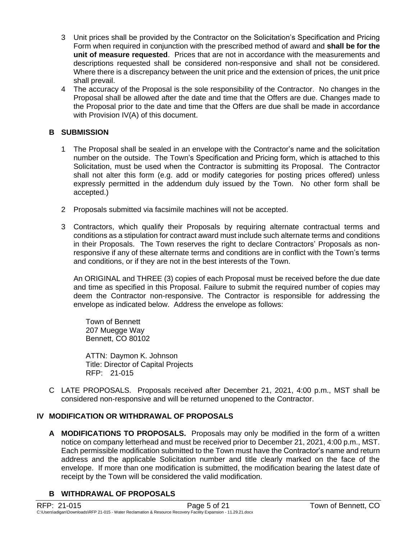- 3 Unit prices shall be provided by the Contractor on the Solicitation's Specification and Pricing Form when required in conjunction with the prescribed method of award and **shall be for the unit of measure requested**. Prices that are not in accordance with the measurements and descriptions requested shall be considered non-responsive and shall not be considered. Where there is a discrepancy between the unit price and the extension of prices, the unit price shall prevail.
- 4 The accuracy of the Proposal is the sole responsibility of the Contractor. No changes in the Proposal shall be allowed after the date and time that the Offers are due. Changes made to the Proposal prior to the date and time that the Offers are due shall be made in accordance with Provision IV(A) of this document.

#### **B SUBMISSION**

- 1 The Proposal shall be sealed in an envelope with the Contractor's name and the solicitation number on the outside. The Town's Specification and Pricing form, which is attached to this Solicitation, must be used when the Contractor is submitting its Proposal. The Contractor shall not alter this form (e.g. add or modify categories for posting prices offered) unless expressly permitted in the addendum duly issued by the Town. No other form shall be accepted.)
- 2 Proposals submitted via facsimile machines will not be accepted.
- 3 Contractors, which qualify their Proposals by requiring alternate contractual terms and conditions as a stipulation for contract award must include such alternate terms and conditions in their Proposals. The Town reserves the right to declare Contractors' Proposals as nonresponsive if any of these alternate terms and conditions are in conflict with the Town's terms and conditions, or if they are not in the best interests of the Town.

An ORIGINAL and THREE (3) copies of each Proposal must be received before the due date and time as specified in this Proposal. Failure to submit the required number of copies may deem the Contractor non-responsive. The Contractor is responsible for addressing the envelope as indicated below. Address the envelope as follows:

Town of Bennett 207 Muegge Way Bennett, CO 80102

ATTN: Daymon K. Johnson Title: Director of Capital Projects RFP: 21-015

C LATE PROPOSALS. Proposals received after December 21, 2021, 4:00 p.m., MST shall be considered non-responsive and will be returned unopened to the Contractor.

#### **IV MODIFICATION OR WITHDRAWAL OF PROPOSALS**

**A MODIFICATIONS TO PROPOSALS.** Proposals may only be modified in the form of a written notice on company letterhead and must be received prior to December 21, 2021, 4:00 p.m., MST. Each permissible modification submitted to the Town must have the Contractor's name and return address and the applicable Solicitation number and title clearly marked on the face of the envelope. If more than one modification is submitted, the modification bearing the latest date of receipt by the Town will be considered the valid modification.

#### **B WITHDRAWAL OF PROPOSALS**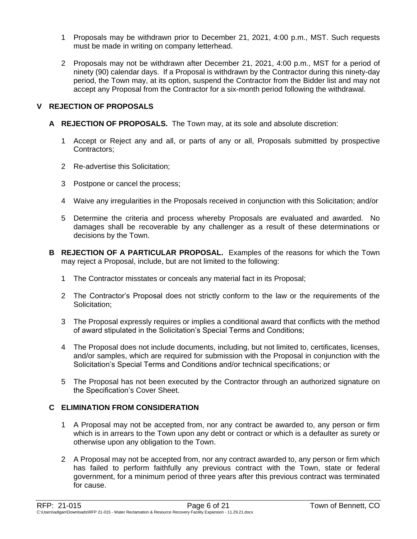- 1 Proposals may be withdrawn prior to December 21, 2021, 4:00 p.m., MST. Such requests must be made in writing on company letterhead.
- 2 Proposals may not be withdrawn after December 21, 2021, 4:00 p.m., MST for a period of ninety (90) calendar days. If a Proposal is withdrawn by the Contractor during this ninety-day period, the Town may, at its option, suspend the Contractor from the Bidder list and may not accept any Proposal from the Contractor for a six-month period following the withdrawal.

#### **V REJECTION OF PROPOSALS**

- **A REJECTION OF PROPOSALS.** The Town may, at its sole and absolute discretion:
	- 1 Accept or Reject any and all, or parts of any or all, Proposals submitted by prospective Contractors;
	- 2 Re-advertise this Solicitation;
	- 3 Postpone or cancel the process;
	- 4 Waive any irregularities in the Proposals received in conjunction with this Solicitation; and/or
	- 5 Determine the criteria and process whereby Proposals are evaluated and awarded. No damages shall be recoverable by any challenger as a result of these determinations or decisions by the Town.
- **B REJECTION OF A PARTICULAR PROPOSAL.** Examples of the reasons for which the Town may reject a Proposal, include, but are not limited to the following:
	- 1 The Contractor misstates or conceals any material fact in its Proposal;
	- 2 The Contractor's Proposal does not strictly conform to the law or the requirements of the Solicitation:
	- 3 The Proposal expressly requires or implies a conditional award that conflicts with the method of award stipulated in the Solicitation's Special Terms and Conditions;
	- 4 The Proposal does not include documents, including, but not limited to, certificates, licenses, and/or samples, which are required for submission with the Proposal in conjunction with the Solicitation's Special Terms and Conditions and/or technical specifications; or
	- 5 The Proposal has not been executed by the Contractor through an authorized signature on the Specification's Cover Sheet.

#### **C ELIMINATION FROM CONSIDERATION**

- 1 A Proposal may not be accepted from, nor any contract be awarded to, any person or firm which is in arrears to the Town upon any debt or contract or which is a defaulter as surety or otherwise upon any obligation to the Town.
- 2 A Proposal may not be accepted from, nor any contract awarded to, any person or firm which has failed to perform faithfully any previous contract with the Town, state or federal government, for a minimum period of three years after this previous contract was terminated for cause.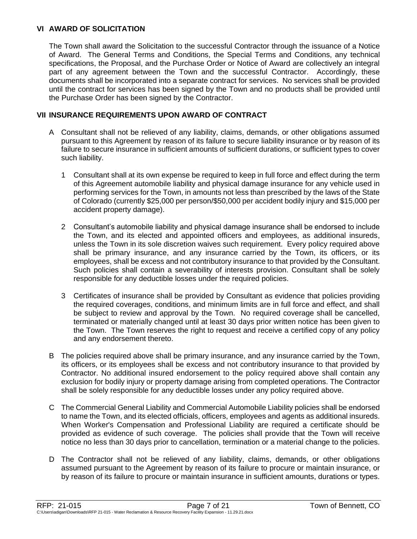#### **VI AWARD OF SOLICITATION**

The Town shall award the Solicitation to the successful Contractor through the issuance of a Notice of Award. The General Terms and Conditions, the Special Terms and Conditions, any technical specifications, the Proposal, and the Purchase Order or Notice of Award are collectively an integral part of any agreement between the Town and the successful Contractor. Accordingly, these documents shall be incorporated into a separate contract for services. No services shall be provided until the contract for services has been signed by the Town and no products shall be provided until the Purchase Order has been signed by the Contractor.

#### **VII INSURANCE REQUIREMENTS UPON AWARD OF CONTRACT**

- A Consultant shall not be relieved of any liability, claims, demands, or other obligations assumed pursuant to this Agreement by reason of its failure to secure liability insurance or by reason of its failure to secure insurance in sufficient amounts of sufficient durations, or sufficient types to cover such liability.
	- 1 Consultant shall at its own expense be required to keep in full force and effect during the term of this Agreement automobile liability and physical damage insurance for any vehicle used in performing services for the Town, in amounts not less than prescribed by the laws of the State of Colorado (currently \$25,000 per person/\$50,000 per accident bodily injury and \$15,000 per accident property damage).
	- 2 Consultant's automobile liability and physical damage insurance shall be endorsed to include the Town, and its elected and appointed officers and employees, as additional insureds, unless the Town in its sole discretion waives such requirement. Every policy required above shall be primary insurance, and any insurance carried by the Town, its officers, or its employees, shall be excess and not contributory insurance to that provided by the Consultant. Such policies shall contain a severability of interests provision. Consultant shall be solely responsible for any deductible losses under the required policies.
	- 3 Certificates of insurance shall be provided by Consultant as evidence that policies providing the required coverages, conditions, and minimum limits are in full force and effect, and shall be subject to review and approval by the Town. No required coverage shall be cancelled, terminated or materially changed until at least 30 days prior written notice has been given to the Town. The Town reserves the right to request and receive a certified copy of any policy and any endorsement thereto.
- B The policies required above shall be primary insurance, and any insurance carried by the Town, its officers, or its employees shall be excess and not contributory insurance to that provided by Contractor. No additional insured endorsement to the policy required above shall contain any exclusion for bodily injury or property damage arising from completed operations. The Contractor shall be solely responsible for any deductible losses under any policy required above.
- C The Commercial General Liability and Commercial Automobile Liability policies shall be endorsed to name the Town, and its elected officials, officers, employees and agents as additional insureds. When Worker's Compensation and Professional Liability are required a certificate should be provided as evidence of such coverage. The policies shall provide that the Town will receive notice no less than 30 days prior to cancellation, termination or a material change to the policies.
- D The Contractor shall not be relieved of any liability, claims, demands, or other obligations assumed pursuant to the Agreement by reason of its failure to procure or maintain insurance, or by reason of its failure to procure or maintain insurance in sufficient amounts, durations or types.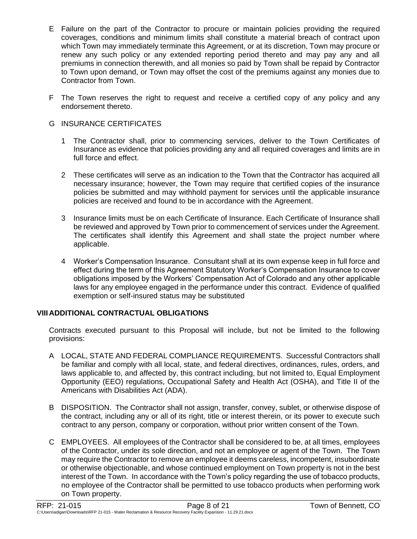- E Failure on the part of the Contractor to procure or maintain policies providing the required coverages, conditions and minimum limits shall constitute a material breach of contract upon which Town may immediately terminate this Agreement, or at its discretion, Town may procure or renew any such policy or any extended reporting period thereto and may pay any and all premiums in connection therewith, and all monies so paid by Town shall be repaid by Contractor to Town upon demand, or Town may offset the cost of the premiums against any monies due to Contractor from Town.
- F The Town reserves the right to request and receive a certified copy of any policy and any endorsement thereto.

#### G INSURANCE CERTIFICATES

- 1 The Contractor shall, prior to commencing services, deliver to the Town Certificates of Insurance as evidence that policies providing any and all required coverages and limits are in full force and effect.
- 2 These certificates will serve as an indication to the Town that the Contractor has acquired all necessary insurance; however, the Town may require that certified copies of the insurance policies be submitted and may withhold payment for services until the applicable insurance policies are received and found to be in accordance with the Agreement.
- 3 Insurance limits must be on each Certificate of Insurance. Each Certificate of Insurance shall be reviewed and approved by Town prior to commencement of services under the Agreement. The certificates shall identify this Agreement and shall state the project number where applicable.
- 4 Worker's Compensation Insurance. Consultant shall at its own expense keep in full force and effect during the term of this Agreement Statutory Worker's Compensation Insurance to cover obligations imposed by the Workers' Compensation Act of Colorado and any other applicable laws for any employee engaged in the performance under this contract. Evidence of qualified exemption or self-insured status may be substituted

#### **VIIIADDITIONAL CONTRACTUAL OBLIGATIONS**

Contracts executed pursuant to this Proposal will include, but not be limited to the following provisions:

- A LOCAL, STATE AND FEDERAL COMPLIANCE REQUIREMENTS. Successful Contractors shall be familiar and comply with all local, state, and federal directives, ordinances, rules, orders, and laws applicable to, and affected by, this contract including, but not limited to, Equal Employment Opportunity (EEO) regulations, Occupational Safety and Health Act (OSHA), and Title II of the Americans with Disabilities Act (ADA).
- B DISPOSITION. The Contractor shall not assign, transfer, convey, sublet, or otherwise dispose of the contract, including any or all of its right, title or interest therein, or its power to execute such contract to any person, company or corporation, without prior written consent of the Town.
- C EMPLOYEES. All employees of the Contractor shall be considered to be, at all times, employees of the Contractor, under its sole direction, and not an employee or agent of the Town. The Town may require the Contractor to remove an employee it deems careless, incompetent, insubordinate or otherwise objectionable, and whose continued employment on Town property is not in the best interest of the Town. In accordance with the Town's policy regarding the use of tobacco products, no employee of the Contractor shall be permitted to use tobacco products when performing work on Town property.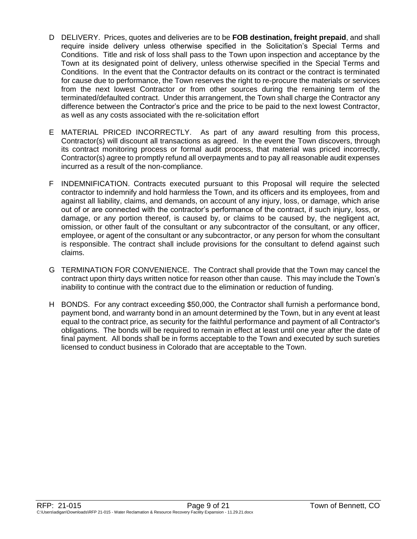- D DELIVERY. Prices, quotes and deliveries are to be **FOB destination, freight prepaid**, and shall require inside delivery unless otherwise specified in the Solicitation's Special Terms and Conditions. Title and risk of loss shall pass to the Town upon inspection and acceptance by the Town at its designated point of delivery, unless otherwise specified in the Special Terms and Conditions. In the event that the Contractor defaults on its contract or the contract is terminated for cause due to performance, the Town reserves the right to re-procure the materials or services from the next lowest Contractor or from other sources during the remaining term of the terminated/defaulted contract. Under this arrangement, the Town shall charge the Contractor any difference between the Contractor's price and the price to be paid to the next lowest Contractor, as well as any costs associated with the re-solicitation effort
- E MATERIAL PRICED INCORRECTLY. As part of any award resulting from this process, Contractor(s) will discount all transactions as agreed. In the event the Town discovers, through its contract monitoring process or formal audit process, that material was priced incorrectly, Contractor(s) agree to promptly refund all overpayments and to pay all reasonable audit expenses incurred as a result of the non-compliance.
- F INDEMNIFICATION. Contracts executed pursuant to this Proposal will require the selected contractor to indemnify and hold harmless the Town, and its officers and its employees, from and against all liability, claims, and demands, on account of any injury, loss, or damage, which arise out of or are connected with the contractor's performance of the contract, if such injury, loss, or damage, or any portion thereof, is caused by, or claims to be caused by, the negligent act, omission, or other fault of the consultant or any subcontractor of the consultant, or any officer, employee, or agent of the consultant or any subcontractor, or any person for whom the consultant is responsible. The contract shall include provisions for the consultant to defend against such claims.
- G TERMINATION FOR CONVENIENCE. The Contract shall provide that the Town may cancel the contract upon thirty days written notice for reason other than cause. This may include the Town's inability to continue with the contract due to the elimination or reduction of funding.
- H BONDS. For any contract exceeding \$50,000, the Contractor shall furnish a performance bond, payment bond, and warranty bond in an amount determined by the Town, but in any event at least equal to the contract price, as security for the faithful performance and payment of all Contractor's obligations. The bonds will be required to remain in effect at least until one year after the date of final payment. All bonds shall be in forms acceptable to the Town and executed by such sureties licensed to conduct business in Colorado that are acceptable to the Town.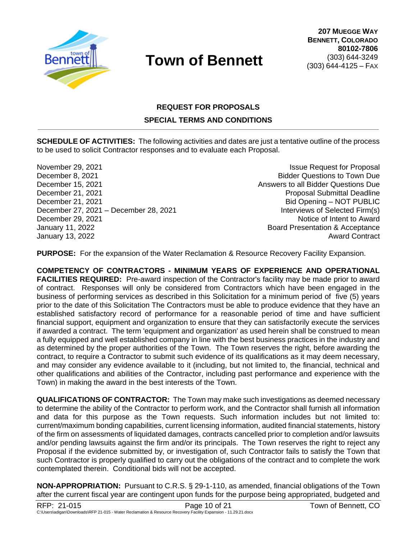

### **REQUEST FOR PROPOSALS**

#### **SPECIAL TERMS AND CONDITIONS**

**SCHEDULE OF ACTIVITIES:** The following activities and dates are just a tentative outline of the process to be used to solicit Contractor responses and to evaluate each Proposal.

November 29, 2021 **Issue Request for Proposal** December 8, 2021 Bidder Questions to Town Due December 15, 2021 **December 15, 2021** Answers to all Bidder Questions Due December 21, 2021 Proposal Submittal Deadline December 21, 2021 **Bid Opening – NOT PUBLIC** December 27, 2021 – December 28, 2021 **Interviews of Selected Firm(s)** December 29, 2021 **December 29, 2021** January 11, 2022 Board Presentation & Acceptance January 13, 2022 Award Contract

**PURPOSE:** For the expansion of the Water Reclamation & Resource Recovery Facility Expansion.

**COMPETENCY OF CONTRACTORS - MINIMUM YEARS OF EXPERIENCE AND OPERATIONAL FACILITIES REQUIRED:** Pre-award inspection of the Contractor's facility may be made prior to award of contract. Responses will only be considered from Contractors which have been engaged in the business of performing services as described in this Solicitation for a minimum period of five (5) years prior to the date of this Solicitation The Contractors must be able to produce evidence that they have an established satisfactory record of performance for a reasonable period of time and have sufficient financial support, equipment and organization to ensure that they can satisfactorily execute the services if awarded a contract. The term 'equipment and organization' as used herein shall be construed to mean a fully equipped and well established company in line with the best business practices in the industry and as determined by the proper authorities of the Town. The Town reserves the right, before awarding the contract, to require a Contractor to submit such evidence of its qualifications as it may deem necessary, and may consider any evidence available to it (including, but not limited to, the financial, technical and other qualifications and abilities of the Contractor, including past performance and experience with the Town) in making the award in the best interests of the Town.

**QUALIFICATIONS OF CONTRACTOR:** The Town may make such investigations as deemed necessary to determine the ability of the Contractor to perform work, and the Contractor shall furnish all information and data for this purpose as the Town requests. Such information includes but not limited to: current/maximum bonding capabilities, current licensing information, audited financial statements, history of the firm on assessments of liquidated damages, contracts cancelled prior to completion and/or lawsuits and/or pending lawsuits against the firm and/or its principals. The Town reserves the right to reject any Proposal if the evidence submitted by, or investigation of, such Contractor fails to satisfy the Town that such Contractor is properly qualified to carry out the obligations of the contract and to complete the work contemplated therein. Conditional bids will not be accepted.

**NON-APPROPRIATION:** Pursuant to C.R.S. § 29-1-110, as amended, financial obligations of the Town after the current fiscal year are contingent upon funds for the purpose being appropriated, budgeted and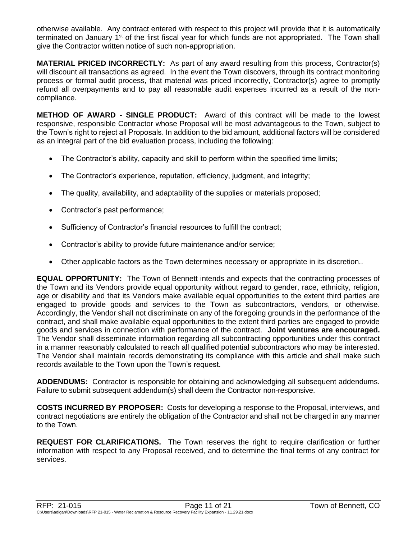otherwise available. Any contract entered with respect to this project will provide that it is automatically terminated on January 1st of the first fiscal year for which funds are not appropriated. The Town shall give the Contractor written notice of such non-appropriation.

**MATERIAL PRICED INCORRECTLY:** As part of any award resulting from this process, Contractor(s) will discount all transactions as agreed. In the event the Town discovers, through its contract monitoring process or formal audit process, that material was priced incorrectly, Contractor(s) agree to promptly refund all overpayments and to pay all reasonable audit expenses incurred as a result of the noncompliance.

**METHOD OF AWARD - SINGLE PRODUCT:** Award of this contract will be made to the lowest responsive, responsible Contractor whose Proposal will be most advantageous to the Town, subject to the Town's right to reject all Proposals. In addition to the bid amount, additional factors will be considered as an integral part of the bid evaluation process, including the following:

- The Contractor's ability, capacity and skill to perform within the specified time limits;
- The Contractor's experience, reputation, efficiency, judgment, and integrity;
- The quality, availability, and adaptability of the supplies or materials proposed;
- Contractor's past performance;
- Sufficiency of Contractor's financial resources to fulfill the contract;
- Contractor's ability to provide future maintenance and/or service;
- Other applicable factors as the Town determines necessary or appropriate in its discretion..

**EQUAL OPPORTUNITY:** The Town of Bennett intends and expects that the contracting processes of the Town and its Vendors provide equal opportunity without regard to gender, race, ethnicity, religion, age or disability and that its Vendors make available equal opportunities to the extent third parties are engaged to provide goods and services to the Town as subcontractors, vendors, or otherwise. Accordingly, the Vendor shall not discriminate on any of the foregoing grounds in the performance of the contract, and shall make available equal opportunities to the extent third parties are engaged to provide goods and services in connection with performance of the contract. **Joint ventures are encouraged.** The Vendor shall disseminate information regarding all subcontracting opportunities under this contract in a manner reasonably calculated to reach all qualified potential subcontractors who may be interested. The Vendor shall maintain records demonstrating its compliance with this article and shall make such records available to the Town upon the Town's request.

**ADDENDUMS:** Contractor is responsible for obtaining and acknowledging all subsequent addendums. Failure to submit subsequent addendum(s) shall deem the Contractor non-responsive.

**COSTS INCURRED BY PROPOSER:** Costs for developing a response to the Proposal, interviews, and contract negotiations are entirely the obligation of the Contractor and shall not be charged in any manner to the Town.

**REQUEST FOR CLARIFICATIONS.** The Town reserves the right to require clarification or further information with respect to any Proposal received, and to determine the final terms of any contract for services.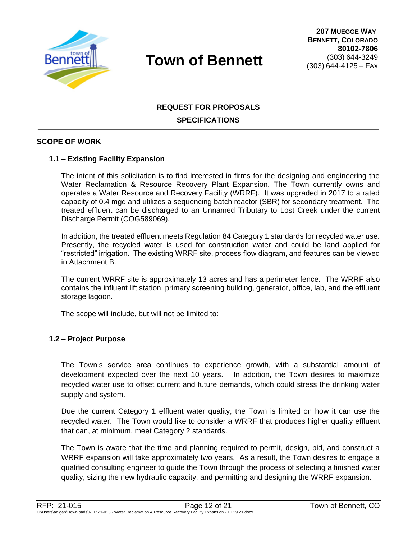

### **REQUEST FOR PROPOSALS SPECIFICATIONS**

#### **SCOPE OF WORK**

#### **1.1 – Existing Facility Expansion**

The intent of this solicitation is to find interested in firms for the designing and engineering the Water Reclamation & Resource Recovery Plant Expansion. The Town currently owns and operates a Water Resource and Recovery Facility (WRRF). It was upgraded in 2017 to a rated capacity of 0.4 mgd and utilizes a sequencing batch reactor (SBR) for secondary treatment. The treated effluent can be discharged to an Unnamed Tributary to Lost Creek under the current Discharge Permit (COG589069).

In addition, the treated effluent meets Regulation 84 Category 1 standards for recycled water use. Presently, the recycled water is used for construction water and could be land applied for "restricted" irrigation. The existing WRRF site, process flow diagram, and features can be viewed in Attachment B.

The current WRRF site is approximately 13 acres and has a perimeter fence. The WRRF also contains the influent lift station, primary screening building, generator, office, lab, and the effluent storage lagoon.

The scope will include, but will not be limited to:

#### **1.2 – Project Purpose**

The Town's service area continues to experience growth, with a substantial amount of development expected over the next 10 years. In addition, the Town desires to maximize recycled water use to offset current and future demands, which could stress the drinking water supply and system.

Due the current Category 1 effluent water quality, the Town is limited on how it can use the recycled water. The Town would like to consider a WRRF that produces higher quality effluent that can, at minimum, meet Category 2 standards.

The Town is aware that the time and planning required to permit, design, bid, and construct a WRRF expansion will take approximately two years. As a result, the Town desires to engage a qualified consulting engineer to guide the Town through the process of selecting a finished water quality, sizing the new hydraulic capacity, and permitting and designing the WRRF expansion.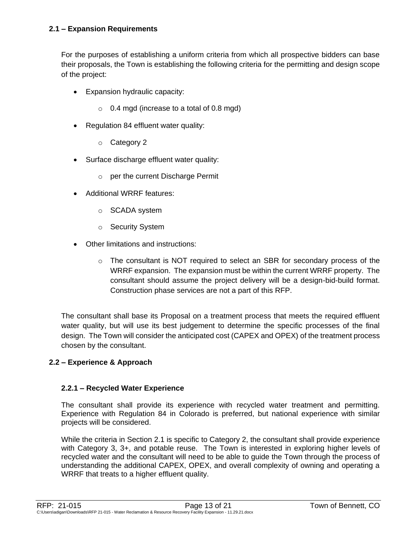For the purposes of establishing a uniform criteria from which all prospective bidders can base their proposals, the Town is establishing the following criteria for the permitting and design scope of the project:

- Expansion hydraulic capacity:
	- $\circ$  0.4 mgd (increase to a total of 0.8 mgd)
- Regulation 84 effluent water quality:
	- o Category 2
- Surface discharge effluent water quality:
	- o per the current Discharge Permit
- Additional WRRF features:
	- o SCADA system
	- o Security System
- Other limitations and instructions:
	- $\circ$  The consultant is NOT required to select an SBR for secondary process of the WRRF expansion. The expansion must be within the current WRRF property. The consultant should assume the project delivery will be a design-bid-build format. Construction phase services are not a part of this RFP.

The consultant shall base its Proposal on a treatment process that meets the required effluent water quality, but will use its best judgement to determine the specific processes of the final design. The Town will consider the anticipated cost (CAPEX and OPEX) of the treatment process chosen by the consultant.

#### **2.2 – Experience & Approach**

#### **2.2.1 – Recycled Water Experience**

The consultant shall provide its experience with recycled water treatment and permitting. Experience with Regulation 84 in Colorado is preferred, but national experience with similar projects will be considered.

While the criteria in Section 2.1 is specific to Category 2, the consultant shall provide experience with Category 3, 3+, and potable reuse. The Town is interested in exploring higher levels of recycled water and the consultant will need to be able to guide the Town through the process of understanding the additional CAPEX, OPEX, and overall complexity of owning and operating a WRRF that treats to a higher effluent quality.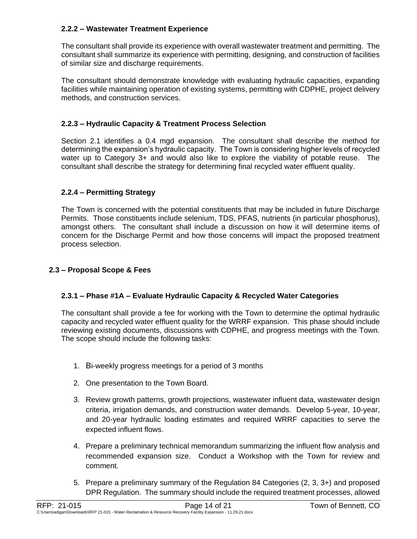#### **2.2.2 – Wastewater Treatment Experience**

The consultant shall provide its experience with overall wastewater treatment and permitting. The consultant shall summarize its experience with permitting, designing, and construction of facilities of similar size and discharge requirements.

The consultant should demonstrate knowledge with evaluating hydraulic capacities, expanding facilities while maintaining operation of existing systems, permitting with CDPHE, project delivery methods, and construction services.

#### **2.2.3 – Hydraulic Capacity & Treatment Process Selection**

Section 2.1 identifies a 0.4 mgd expansion. The consultant shall describe the method for determining the expansion's hydraulic capacity. The Town is considering higher levels of recycled water up to Category 3+ and would also like to explore the viability of potable reuse. The consultant shall describe the strategy for determining final recycled water effluent quality.

#### **2.2.4 – Permitting Strategy**

The Town is concerned with the potential constituents that may be included in future Discharge Permits. Those constituents include selenium, TDS, PFAS, nutrients (in particular phosphorus), amongst others. The consultant shall include a discussion on how it will determine items of concern for the Discharge Permit and how those concerns will impact the proposed treatment process selection.

#### **2.3 – Proposal Scope & Fees**

#### **2.3.1 – Phase #1A – Evaluate Hydraulic Capacity & Recycled Water Categories**

The consultant shall provide a fee for working with the Town to determine the optimal hydraulic capacity and recycled water effluent quality for the WRRF expansion. This phase should include reviewing existing documents, discussions with CDPHE, and progress meetings with the Town. The scope should include the following tasks:

- 1. Bi-weekly progress meetings for a period of 3 months
- 2. One presentation to the Town Board.
- 3. Review growth patterns, growth projections, wastewater influent data, wastewater design criteria, irrigation demands, and construction water demands. Develop 5-year, 10-year, and 20-year hydraulic loading estimates and required WRRF capacities to serve the expected influent flows.
- 4. Prepare a preliminary technical memorandum summarizing the influent flow analysis and recommended expansion size. Conduct a Workshop with the Town for review and comment.
- 5. Prepare a preliminary summary of the Regulation 84 Categories (2, 3, 3+) and proposed DPR Regulation. The summary should include the required treatment processes, allowed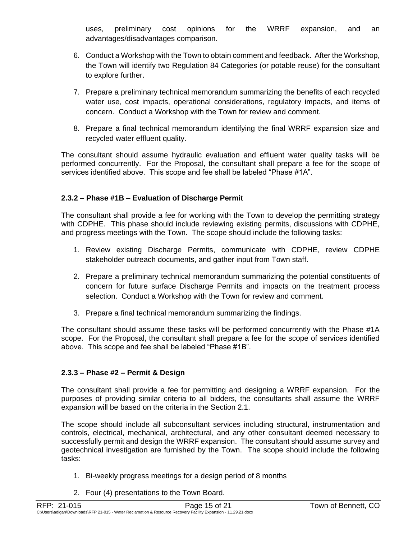uses, preliminary cost opinions for the WRRF expansion, and an advantages/disadvantages comparison.

- 6. Conduct a Workshop with the Town to obtain comment and feedback. After the Workshop, the Town will identify two Regulation 84 Categories (or potable reuse) for the consultant to explore further.
- 7. Prepare a preliminary technical memorandum summarizing the benefits of each recycled water use, cost impacts, operational considerations, regulatory impacts, and items of concern. Conduct a Workshop with the Town for review and comment.
- 8. Prepare a final technical memorandum identifying the final WRRF expansion size and recycled water effluent quality.

The consultant should assume hydraulic evaluation and effluent water quality tasks will be performed concurrently. For the Proposal, the consultant shall prepare a fee for the scope of services identified above. This scope and fee shall be labeled "Phase #1A".

#### **2.3.2 – Phase #1B – Evaluation of Discharge Permit**

The consultant shall provide a fee for working with the Town to develop the permitting strategy with CDPHE. This phase should include reviewing existing permits, discussions with CDPHE, and progress meetings with the Town. The scope should include the following tasks:

- 1. Review existing Discharge Permits, communicate with CDPHE, review CDPHE stakeholder outreach documents, and gather input from Town staff.
- 2. Prepare a preliminary technical memorandum summarizing the potential constituents of concern for future surface Discharge Permits and impacts on the treatment process selection. Conduct a Workshop with the Town for review and comment.
- 3. Prepare a final technical memorandum summarizing the findings.

The consultant should assume these tasks will be performed concurrently with the Phase #1A scope. For the Proposal, the consultant shall prepare a fee for the scope of services identified above. This scope and fee shall be labeled "Phase #1B".

#### **2.3.3 – Phase #2 – Permit & Design**

The consultant shall provide a fee for permitting and designing a WRRF expansion. For the purposes of providing similar criteria to all bidders, the consultants shall assume the WRRF expansion will be based on the criteria in the Section 2.1.

The scope should include all subconsultant services including structural, instrumentation and controls, electrical, mechanical, architectural, and any other consultant deemed necessary to successfully permit and design the WRRF expansion. The consultant should assume survey and geotechnical investigation are furnished by the Town. The scope should include the following tasks:

- 1. Bi-weekly progress meetings for a design period of 8 months
- 2. Four (4) presentations to the Town Board.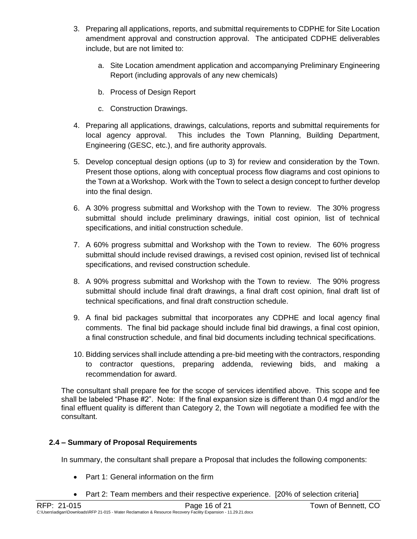- 3. Preparing all applications, reports, and submittal requirements to CDPHE for Site Location amendment approval and construction approval. The anticipated CDPHE deliverables include, but are not limited to:
	- a. Site Location amendment application and accompanying Preliminary Engineering Report (including approvals of any new chemicals)
	- b. Process of Design Report
	- c. Construction Drawings.
- 4. Preparing all applications, drawings, calculations, reports and submittal requirements for local agency approval. This includes the Town Planning, Building Department, Engineering (GESC, etc.), and fire authority approvals.
- 5. Develop conceptual design options (up to 3) for review and consideration by the Town. Present those options, along with conceptual process flow diagrams and cost opinions to the Town at a Workshop. Work with the Town to select a design concept to further develop into the final design.
- 6. A 30% progress submittal and Workshop with the Town to review. The 30% progress submittal should include preliminary drawings, initial cost opinion, list of technical specifications, and initial construction schedule.
- 7. A 60% progress submittal and Workshop with the Town to review. The 60% progress submittal should include revised drawings, a revised cost opinion, revised list of technical specifications, and revised construction schedule.
- 8. A 90% progress submittal and Workshop with the Town to review. The 90% progress submittal should include final draft drawings, a final draft cost opinion, final draft list of technical specifications, and final draft construction schedule.
- 9. A final bid packages submittal that incorporates any CDPHE and local agency final comments. The final bid package should include final bid drawings, a final cost opinion, a final construction schedule, and final bid documents including technical specifications.
- 10. Bidding services shall include attending a pre-bid meeting with the contractors, responding to contractor questions, preparing addenda, reviewing bids, and making a recommendation for award.

The consultant shall prepare fee for the scope of services identified above. This scope and fee shall be labeled "Phase #2". Note: If the final expansion size is different than 0.4 mgd and/or the final effluent quality is different than Category 2, the Town will negotiate a modified fee with the consultant.

#### **2.4 – Summary of Proposal Requirements**

In summary, the consultant shall prepare a Proposal that includes the following components:

- Part 1: General information on the firm
- Part 2: Team members and their respective experience. [20% of selection criteria]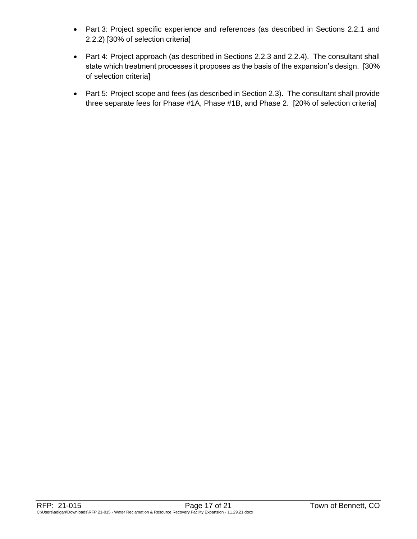- Part 3: Project specific experience and references (as described in Sections 2.2.1 and 2.2.2) [30% of selection criteria]
- Part 4: Project approach (as described in Sections 2.2.3 and 2.2.4). The consultant shall state which treatment processes it proposes as the basis of the expansion's design. [30% of selection criteria]
- Part 5: Project scope and fees (as described in Section 2.3). The consultant shall provide three separate fees for Phase #1A, Phase #1B, and Phase 2. [20% of selection criteria]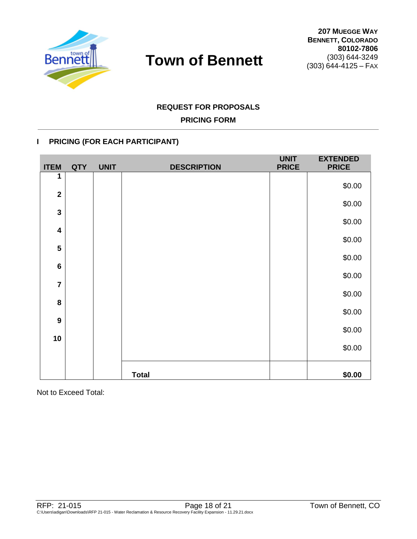

### **REQUEST FOR PROPOSALS**

### **PRICING FORM**

#### **I PRICING (FOR EACH PARTICIPANT)**

| <b>ITEM</b>             | <b>QTY</b> | <b>UNIT</b> | <b>DESCRIPTION</b> | <b>UNIT</b><br><b>PRICE</b> | <b>EXTENDED</b><br><b>PRICE</b> |
|-------------------------|------------|-------------|--------------------|-----------------------------|---------------------------------|
| 1                       |            |             |                    |                             | \$0.00                          |
| $\overline{\mathbf{2}}$ |            |             |                    |                             |                                 |
| $\mathbf{3}$            |            |             |                    |                             | \$0.00                          |
| $\overline{\mathbf{4}}$ |            |             |                    |                             | \$0.00                          |
|                         |            |             |                    |                             | \$0.00                          |
| 5                       |            |             |                    |                             | \$0.00                          |
| $6\phantom{1}6$         |            |             |                    |                             | \$0.00                          |
| $\overline{7}$          |            |             |                    |                             |                                 |
| 8                       |            |             |                    |                             | \$0.00                          |
| $\boldsymbol{9}$        |            |             |                    |                             | \$0.00                          |
|                         |            |             |                    |                             | \$0.00                          |
| 10                      |            |             |                    |                             | \$0.00                          |
|                         |            |             |                    |                             |                                 |
|                         |            |             | <b>Total</b>       |                             | \$0.00                          |

Not to Exceed Total: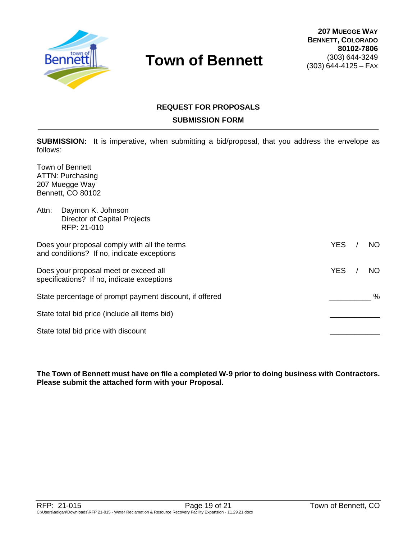

### **REQUEST FOR PROPOSALS SUBMISSION FORM**

**SUBMISSION:** It is imperative, when submitting a bid/proposal, that you address the envelope as follows:

Town of Bennett ATTN: Purchasing 207 Muegge Way Bennett, CO 80102

| Attn: | Daymon K. Johnson<br><b>Director of Capital Projects</b><br>RFP: 21-010                    |            |     |
|-------|--------------------------------------------------------------------------------------------|------------|-----|
|       | Does your proposal comply with all the terms<br>and conditions? If no, indicate exceptions | <b>YES</b> | NO. |
|       | Does your proposal meet or exceed all<br>specifications? If no, indicate exceptions        | <b>YES</b> | NO. |
|       | State percentage of prompt payment discount, if offered                                    |            | %   |
|       | State total bid price (include all items bid)                                              |            |     |
|       | State total bid price with discount                                                        |            |     |

**The Town of Bennett must have on file a completed W-9 prior to doing business with Contractors. Please submit the attached form with your Proposal.**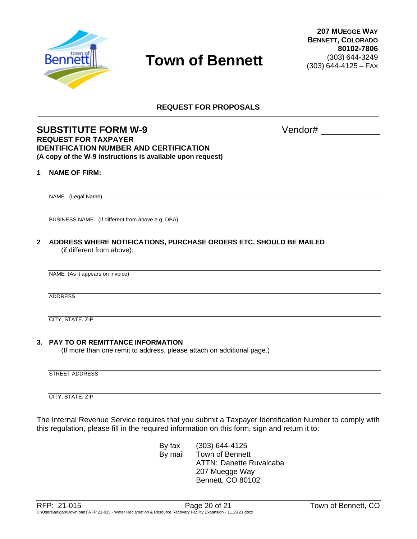

**REQUEST FOR PROPOSALS**

#### **SUBSTITUTE FORM W-9** Vendor# **REQUEST FOR TAXPAYER IDENTIFICATION NUMBER AND CERTIFICATION (A copy of the W-9 instructions is available upon request)**

#### **1 NAME OF FIRM:**

NAME (Legal Name)

BUSINESS NAME (If different from above e.g. DBA)

**2 ADDRESS WHERE NOTIFICATIONS, PURCHASE ORDERS ETC. SHOULD BE MAILED** (if different from above):

NAME (As it appears on invoice)

ADDRESS

CITY, STATE, ZIP

#### **3. PAY TO OR REMITTANCE INFORMATION**

(If more than one remit to address, please attach on additional page.)

STREET ADDRESS

CITY, STATE, ZIP

The Internal Revenue Service requires that you submit a Taxpayer Identification Number to comply with this regulation, please fill in the required information on this form, sign and return it to:

> By fax (303) 644-4125 By mail Town of Bennett ATTN: Danette Ruvalcaba 207 Muegge Way Bennett, CO 80102